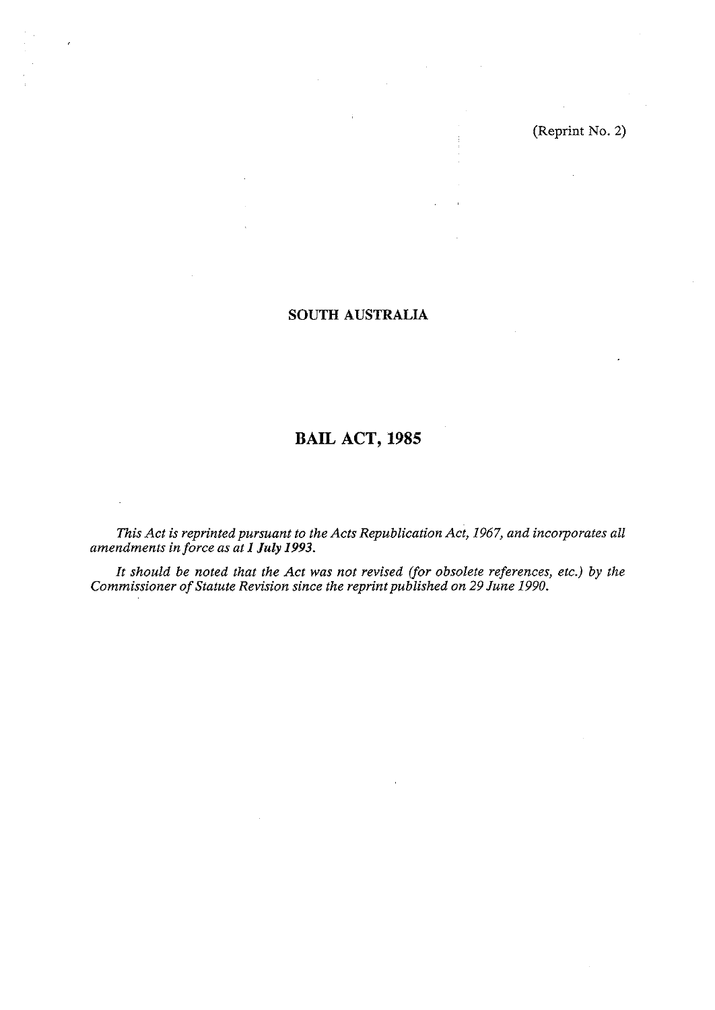(Reprint No. **2)** 

# **SOUTH AUSTRALIA**

# **BAIL ACT, 1985**

This Act is reprinted pursuant to the Acts Republication Act, 1967, and incorporates all *amendments in force as at I July 1993.* 

*It should be noted that the Act was not revised (for obsolete references, etc.) by the Commissioner of Statute Revision since the reprint published on 29 June 1990.*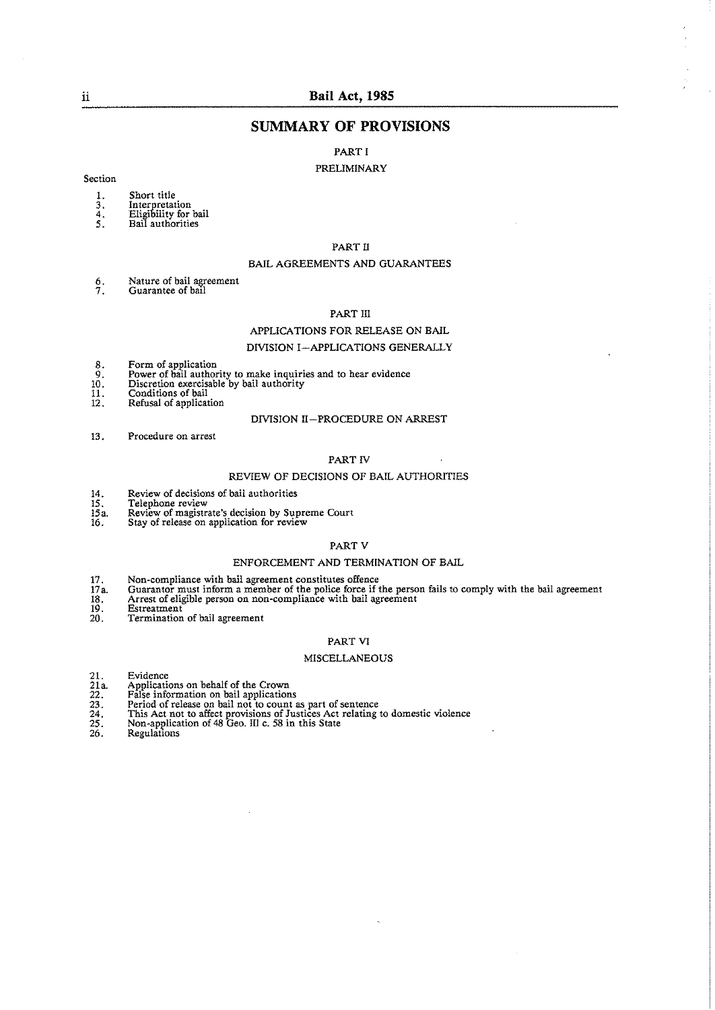# ii **Bail Act. 1985**

# **SUMMARY OF PROVISIONS**

# PART I

#### PRELIMINARY

#### Section

- 1. Short title<br>3. Interpretat
- 
- 3. Interpretation<br>4. Eligibility for bail<br>5. Bail authorities
- 

# PART I1

#### BAIL AGREEMENTS AND GUARANTEES

6. Nature of bail agreement 7. Guarantee of bat1

#### PART III

#### APPLICATIONS FOR RELEASE ON BAIL

#### DIVISION I-APPLICATIONS GENERALLY

- 
- 8. Form of application 9. Power of bail authority to make inquiries and to hear evidence 10. Discretion exercisable bv bail authoritv
- 
- 11. Conditions of bail<br>12. Refusal of applicat Refusal of application

#### DIVISION II-PROCEDURE ON ARREST

13. Procedure on arrest

# PART IV

#### REVIEW OF DECISIONS OF BAIL AUTHORITIES

- 14. Review of decisions of bail authorities<br>15. Telephone review<br>15a. Review of magistrate's decision by Sup
- **15.** Telephone review
- 15a. Review of magistrate's decision by Supreme Court 16. Stay of release on application for review
- 

#### PART V

#### ENFORCEMENT AND TERMINATION OF BAIL

- **17.** Non-compliance with hail agreement constitutes offence
- 17a. Guarantor must inform a member of the police force if the person fails to comply with the bail agreement 17a. Guarantor must inform a member of the police force if the person 18. Arrest of eligible person on non-compliance with bail agreement 20. Termination of bail agreement
- 
- 
- Termination of bail agreement

#### PART VI

#### MISCELLANEOUS

- 21. Evidence<br>
21a. Applications<br>
22. False inform<br>
23. Period of rel<br>
25. Non-applica<br>
26. Regulations
- 21. Evidence 21a. Applications on behalf of the Crown 22. False information on bail applications
- 
- 23. Period of release on bail not to count as part of sentence 24. This Act not to affect provisions of Justices Act relating to domestic violence 25. Non-application of 48 Geo. Ill c. 58 in this State
- 
-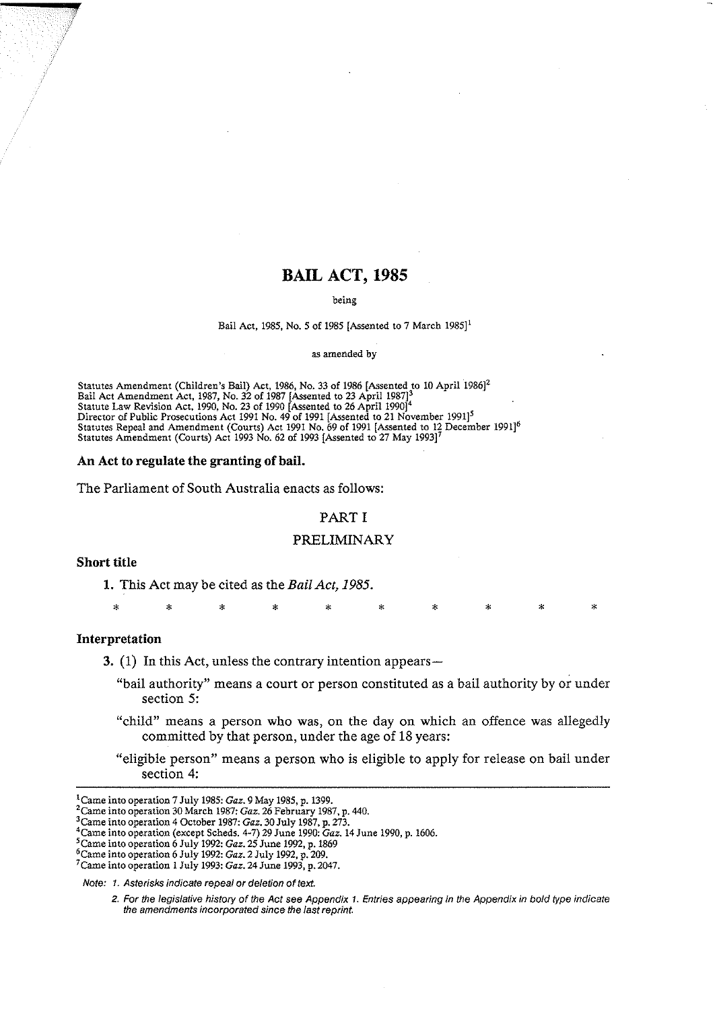# **BAIL ACT, 1985**

#### being

#### Bail Act, **1985.** No. **5** of **1985** [Assented to **7** March **19851'**

as amended by

Statutes Amendment (Children's Bail) Act, **1986,** No. **33** of **1986** [Assented to **10** April **'19861'**  Bail Act Amendment Act, **1987,** No. **32** of **1987** [Assented to **23** April **198713**  Statute **Law** Revision Act, **1990,** No. **23** of **1990** [Assented to **26** April **19901'**  Director of Public Prosecutions Act 1991 No. 49 of 1991 [Assented to 21 November 1991]<sup>5</sup> Statutes Repeal and Amendment (Courts) Act **1991** No. **69** of **1991** [Assented to **12** December **19911"**  Statutes Amendment (Courts) Act **1993** No. **62** of **1993** [Assented to **27** May **199317** 

#### **An Act to regulate the granting of bail.**

The Parliament of South Australia enacts as follows:

## PART I

#### PRELIMINARY

# **Short title**

1. This Act may be cited as the **Bail** *Act,* 1985.

\* \* \* \* \* \* \* \* \* \*

# **Interpretation**

**3.** (1) In this Act, unless the contrary intention appears—

- "bail authority" means a court or person constituted as a bail authority by or under section *5:*
- "child" means a person who was, on the day on which an offence was allegedly committed by that person, under the age of 18 years:
- "eligible person" means a person who is eligible to apply for release on bail under section 4:

**Note: 1. Asterisks indicate repeal or deletion** of **text** 

<sup>&#</sup>x27;Came intooperation **7** July **1985: Gaz. 9** May **1985,** p. **1399.** 

<sup>&#</sup>x27;came into operation **30** March **1987: Gaz. 26** February **1987.** p. **440.** 

<sup>3</sup>Came into operation **4** October **1987: Gaz. 30** July **1987,** p. **273.** 

<sup>4</sup>Came into operation (except Scheds. **4-7) 29** June **1990: Gaz. 14** June **1990,** p. **1606.** 

<sup>&#</sup>x27;came into operation **6** July **19% Gaz. 25** June **1992,** p. **1869** 

kame into operation **6** July **1992: Gaz. 2** July **1992,** p. **209.** 

<sup>7~</sup>ame into operation **1** July **1993: Gaz. 24** June **1993,** p. **2047.** 

**<sup>2.</sup> For the legislative history of the Act see Appendix 1. Entries appearing in the Appendix in bold type indicate the amendments incorporated since the last reprint.**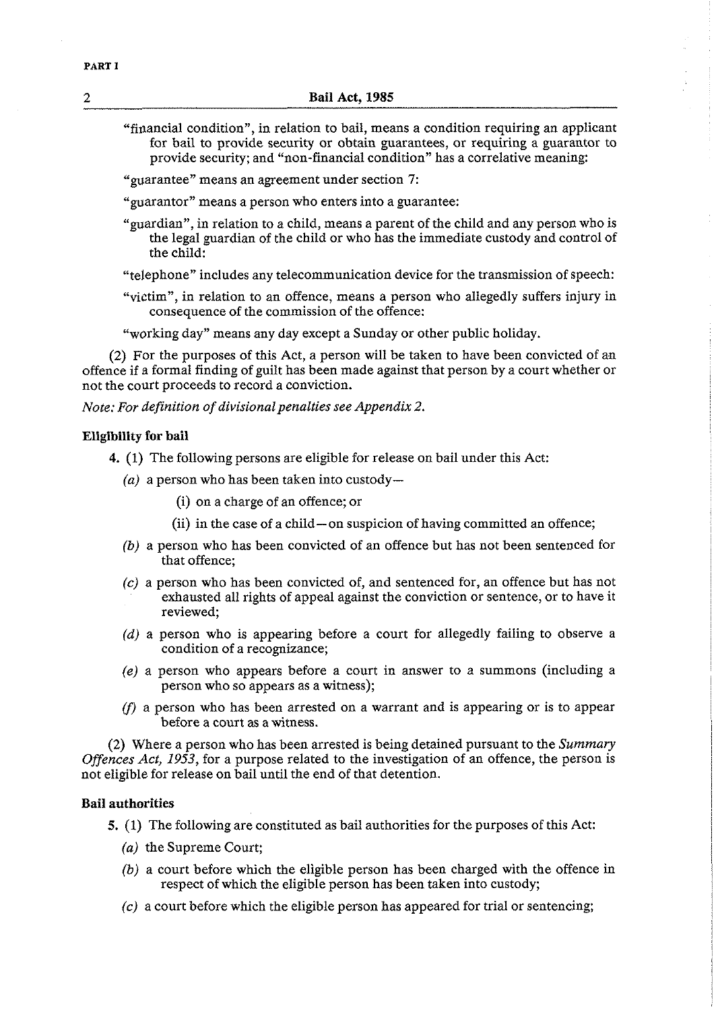- "financial condition", in relation to bail, means a condition requiring an applicant for bail to provide security or obtain guarantees, or requiring a guarantor to provide security; and "non-financial condition" has a correlative meaning:
- "guarantee" means an agreement under section **7:**
- "guarantor" means a person who enters into a guarantee:
- "guardian", in relation to a child, means a parent of the child and any person who is the legal guardian of the child or who has the immediate custody and control of the child:
- "telephone" includes any telecommunication device for the transmission of speech:
- "victim", in relation to an offence, means a person who allegedly suffers injury in consequence of the commission of the offence:
- "working day" means any day except a Sunday or other public holiday.

(2) For the purposes of this Act, a person will be taken to have been convicted of an offence if a formal finding of guilt has been made against that person by a court whether or not the court proceeds to record a conviction.

*Note: For definition of divisional penalties see Appendix 2.* 

### **Eligibility for bail**

- 4. **(1)** The following persons are eligible for release on bail under this Act:
	- $(a)$  a person who has been taken into custody-
		- (i) on a charge of an offence; or
		- (ii) in the case of a child-on suspicion of having committed an offence;
	- (b) a person who has been convicted of an offence but has not been sentenced for that offence;
	- *(c)* a person who has been convicted of, and sentenced for, an offence but has not exhausted all rights of appeal against the conviction or sentence, or to have it reviewed;
	- (d) a person who is appearing before a court for allegedly failing to observe a condition of a recognizance;
	- *(e)* a person who appears before a court in answer to a summons (including a person who so appears as a witness);
	- (f) a person who has been arrested on a warrant and is appearing or is to appear before a court as a witness.

(2) Where a person who has been arrested is being detained pursuant to the *Summary Offences Act, 1953,* for a purpose related to the investigation of an offence, the person is not eligible for release on bail until the end of that detention.

# **Bail authorities**

- 5. (1) The following are constituted as bail authorities for the purposes of this Act:
	- *(a)* the Supreme Court;
	- *(b)* a court before which the eligible person has been charged with the offence in respect of which the eligible person has been taken into custody;
	- (c) a court before which the eligible person has appeared for trial or sentencing;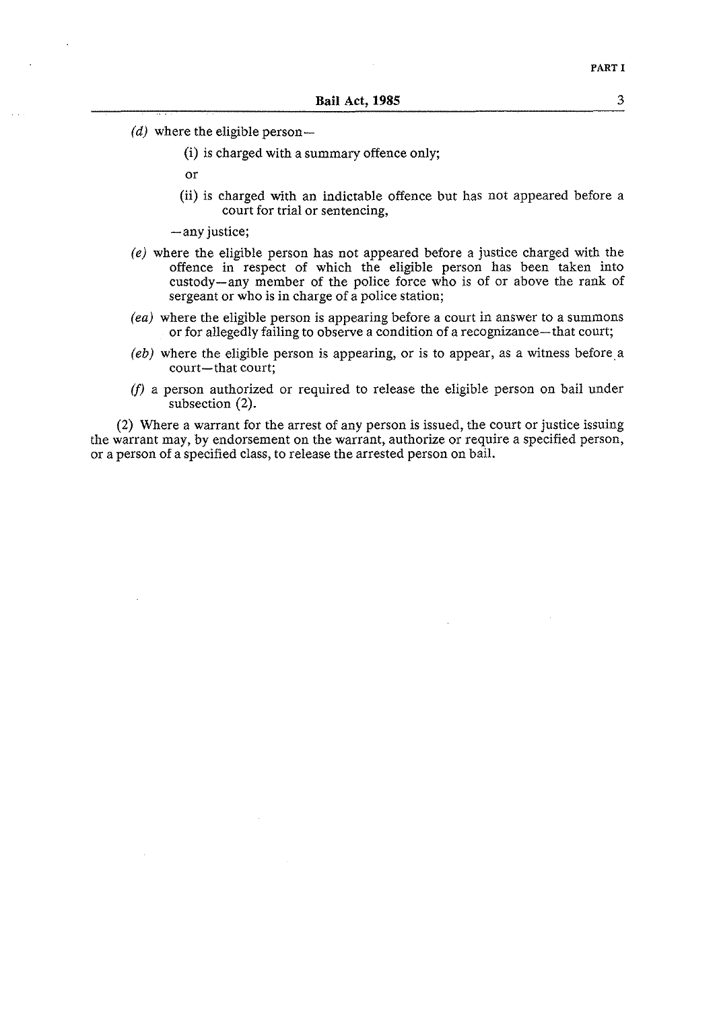- (d) where the eligible person $-$ 
	- (i) is charged with a summary offence only;
	- or
	- (ii) is charged with an indictable offence but has not appeared before a court for trial or sentencing,
	- -any justice;
- *(e)* where the eligible person has not appeared before a justice charged with the offence in respect of which the eligible person has been taken into custody-any member of the police force who is of or above the rank of sergeant or who is in charge of a police station;
- *(ea)* where the eligible person is appearing before a court in answer to a summons or for allegedly failing to observe a condition of a recognizance-that court;
- $(eb)$  where the eligible person is appearing, or is to appear, as a witness before a court-that court;
- (f) a person authorized or required to release the eligible person on bail under subsection (2).

(2) Where a warrant for the arrest of any person is issued, the court or justice issuing the warrant may, by endorsement on the warrant, authorize or require a specified person, or a person of a specified class, to release the arrested person on bail.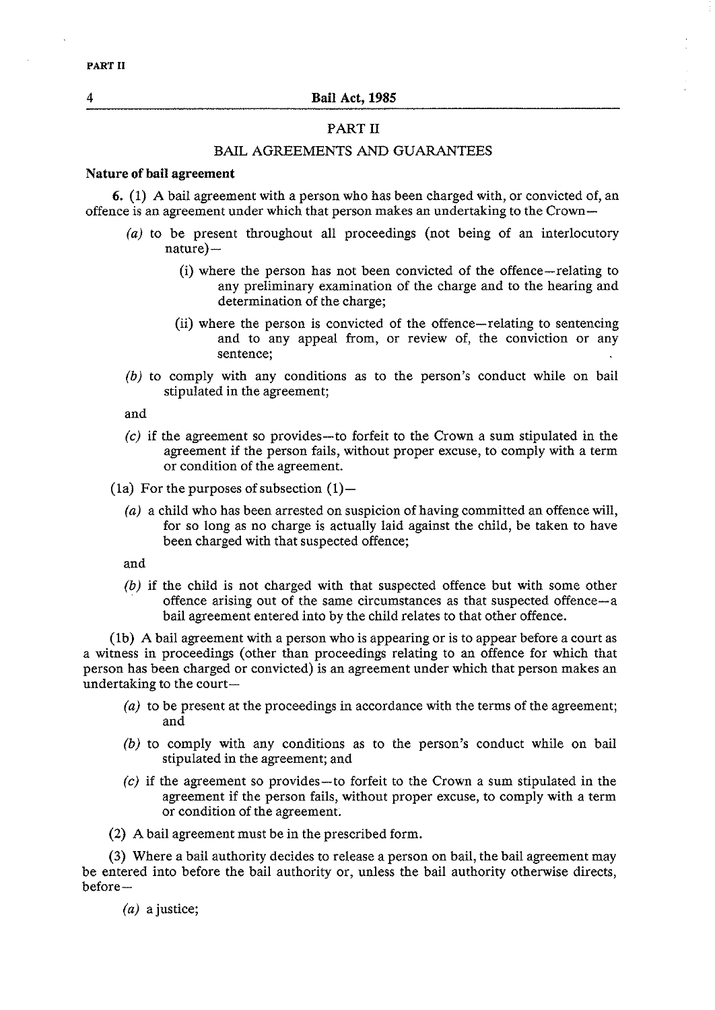# PART **I1**

# BAIL AGREEMENTS AND GUARANTEES

# **Nature of bail agreement**

6. (1) A bail agreement with a person who has been charged with, or convicted of, an offence is an agreement under which that person makes an undertaking to the Crown-

- *(a)* to be present throughout all proceedings (not being of an interlocutory  $nature$ )
	- (i) where the person has not been convicted of the offence-relating to any preliminary examination of the charge and to the hearing and determination of the charge;
	- (ii) where the person is convicted of the offence-relating to sentencing and to any appeal from, or review of, the conviction or any sentence;
- *(b)* to comply with any conditions as to the person's conduct while on bail stipulated in the agreement;

and

- *(c)* if the agreement so provides-to forfeit to the Crown a sum stipulated in the agreement if the person fails, without proper excuse, to comply with a term or condition of the agreement.
- (1a) For the purposes of subsection  $(1)$ -
	- *(a)* a child who has been arrested on suspicion of having committed an offence will, for so long as no charge is actually laid against the child, be taken to have been charged with that suspected offence;

and

*(b)* if the child is not charged with that suspected offence but with some other offence arising out of the same circumstances as that suspected offence-a bail agreement entered into by the child relates to that other offence.

(lb) A bail agreement with a person who is appearing or is to appear before a court as a witness in proceedings (other than proceedings relating to an offence for which that person has been charged or convicted) is an agreement under which that person makes an undertaking to the court-

- *(a)* to be present at the proceedings in accordance with the terms of the agreement; and
- *(b)* to comply with any conditions as to the person's conduct while on bail stipulated in the agreement; and
- *(c)* if the agreement so provides-to forfeit to the Crown a sum stipulated in the agreement if the person fails, without proper excuse, to comply with a term or condition of the agreement.
- (2) A bail agreement must be in the prescribed form.

**(3)** Where a bail authority decides to release a person on bail, the bail agreement may be entered into before the bail authority or, unless the bail authority otherwise directs, before-

*(a)* a justice;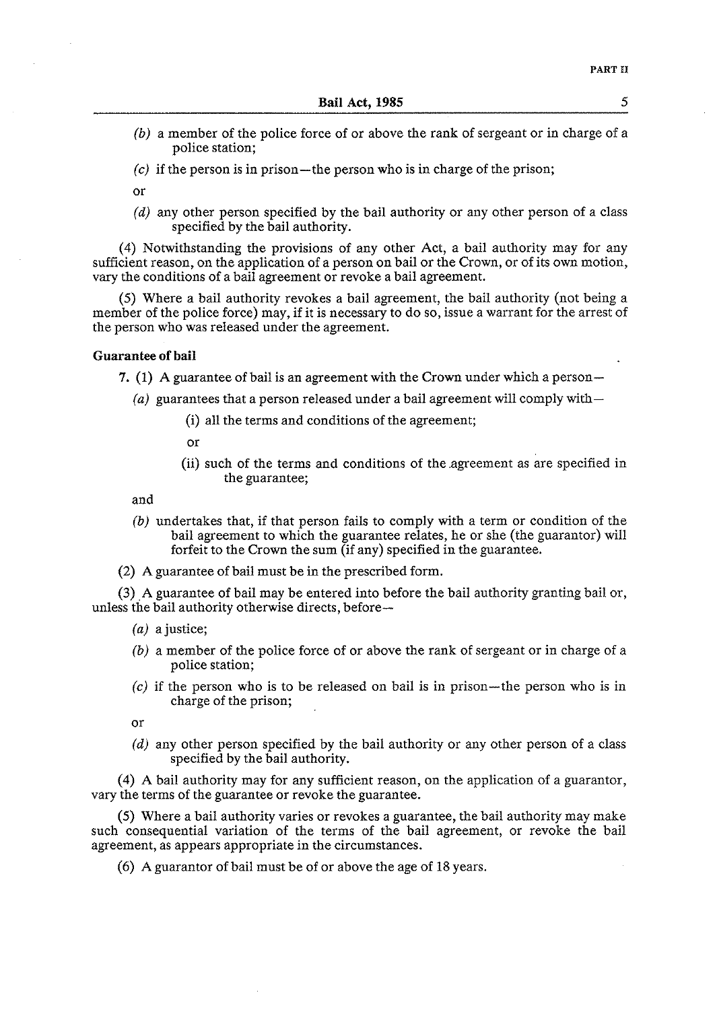- *(b)* a member of the police force of or above the rank of sergeant or in charge of a police station;
- *(c)* if the person is in prison-the person who is in charge of the prison;

or

*(d)* any other person specified by the bail authority or any other person of a class specified by the bail authority.

(4) Notwithstanding the provisions of any other Act, a bail authority may for any sufficient reason, on the application of a person on bail or the Crown, or of its own motion, vary the conditions of a bail agreement or revoke a bail agreement.

(5) Where a bail authority revokes a bail agreement, the bail authority (not being a member of the police force) may, if it is necessary to do so, issue a warrant for the arrest of the person who was released under the agreement.

# **Guarantee of bail**

7. **(1)** A guarantee of bail is an agreement with the Crown under which a person-

- (a) guarantees that a person released under a bail agreement will comply with-
	- (i) all the terms and conditions of the agreement;
	- or
	- (ii) such of the terms and conditions of the .agreement as are specified in the guarantee;

and

- *(b)* undertakes that, if that person fails to comply with a term or condition of the bail agreement to which the guarantee relates, he or she (the guarantor) will forfeit to the Crown the sum (if any) specified in the guarantee.
- (2) A guarantee of bail must be in the prescribed form.

**(3)** A guarantee of bail may be entered into before the bail authority granting bail or, unless the bail authority otherwise directs, before-

- (a) a justice;
- (b) a member of the police force of or above the rank of sergeant or in charge of a police station;
- *(c)* if the person who is to be released on bail is in prison-the person who is in charge of the prison;

or

*(d)* any other person specified by the bail authority or any other person of a class specified by the bail authority.

(4) A bail authority may for any sufficient reason, on the application of a guarantor, vary the terms of the guarantee or revoke the guarantee.

(5) Where a bail authority varies or revokes a guarantee, the bail authority may make such consequential variation of the terms of the bail agreement, or revoke the bail agreement, as appears appropriate in the circumstances.

(6) A guarantor of bail must be of or above the age of 18 years.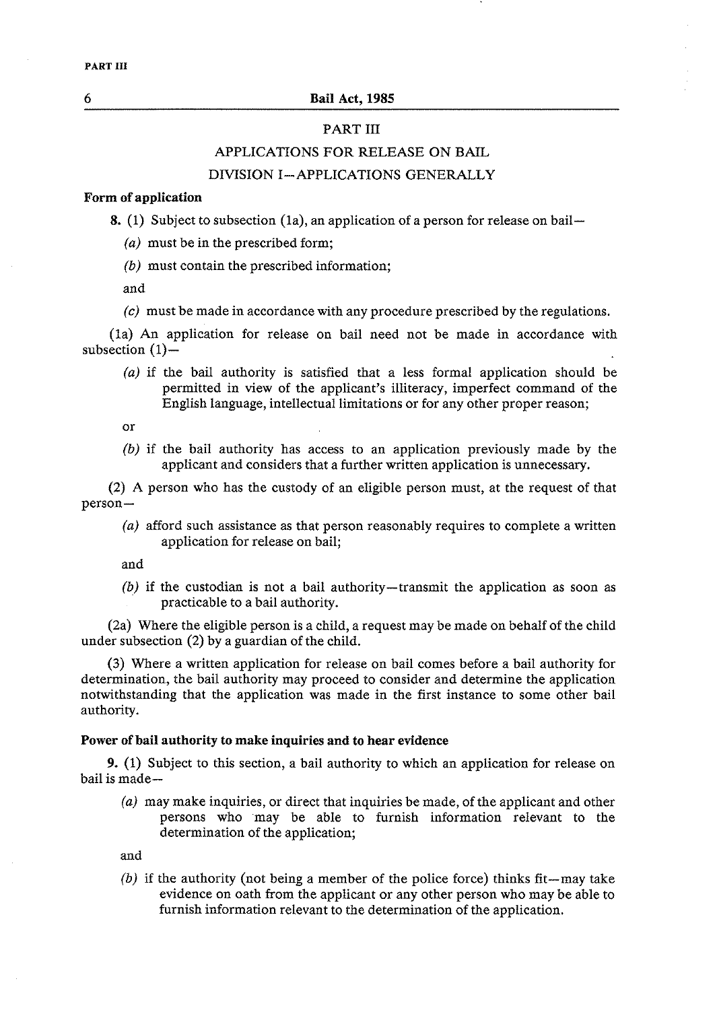# PART III

# APPLICATIONS FOR RELEASE ON BAIL

# DIVISION I-APPLICATIONS GENERALLY

# **Form of application**

**8.** (1) Subject to subsection (1a), an application of a person for release on bail-

- *(a)* must be in the prescribed form;
- *(b)* must contain the prescribed information;

and

(c) must be made in accordance with any procedure prescribed by the regulations.

(la) An application for release on bail need not be made in accordance with subsection  $(1)$ -

*(a)* if the bail authority is satisfied that a less formal application should be permitted in view of the applicant's illiteracy, imperfect command of the English language, intellectual limitations or for any other proper reason;

or

*(b)* if the bail authority has access to an application previously made by the applicant and considers that a further written application is unnecessary.

(2) A person who has the custody of an eligible person must, at the request of that person-

*(a)* afford such assistance as that person reasonably requires to complete a written application for release on bail;

and

*(b)* if the custodian is not a bail authority-transmit the application as soon as practicable to a bail authority.

(2a) Where the eligible person is a child, a request may be made on behalf of the child under subsection (2) by a guardian of the child.

**(3)** Where a written application for release on bail comes before a bail authority for determination, the bail authority may proceed to consider and determine the application notwithstanding that the application was made in the first instance to some other bail authority.

#### **Power of bail authority to make inquiries and to hear evidence**

9. (1) Subject to this section, a bail authority to which an application for release on bail is made-

*(a)* may make inquiries, or direct that inquiries be made, of the applicant and other persons who may be able to furnish information relevant to the determination of the application;

and

*(b)* if the authority (not being a member of the police force) thinks fit-may take evidence on oath from the applicant or any other person who may be able to furnish information relevant to the determination of the application.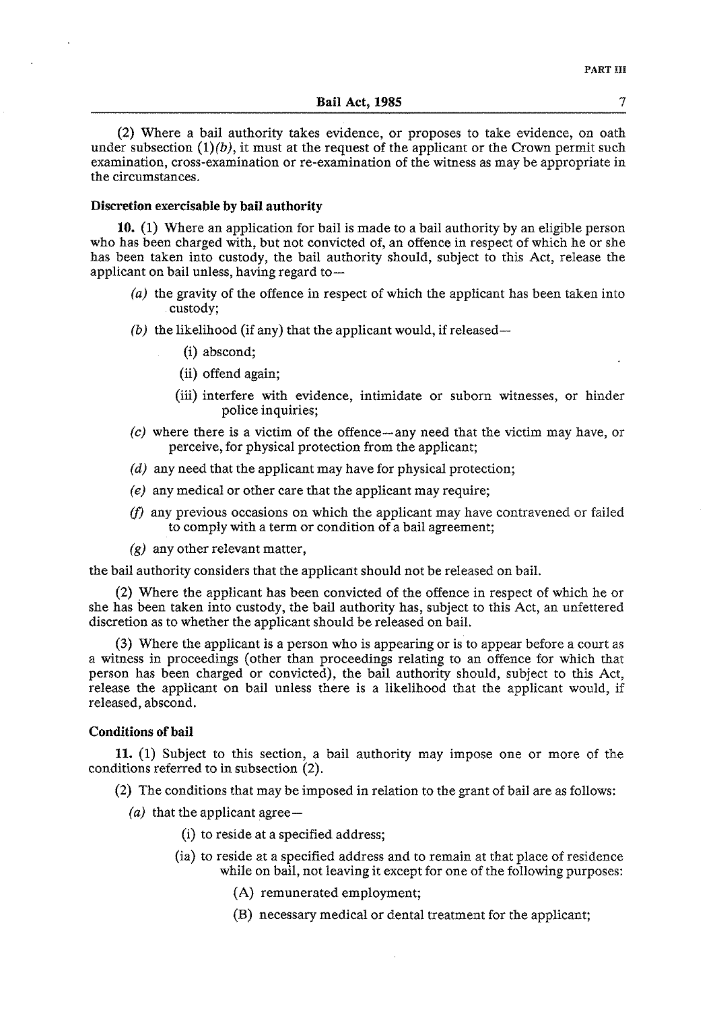(2) Where a bail authority takes evidence, or proposes to take evidence, on oath under subsection  $(1)(b)$ , it must at the request of the applicant or the Crown permit such examination, cross-examination or re-examination of the witness as may be appropriate in the circumstances.

# Discretion exercisable by bail authority

**10.** (1) Where an application for bail is made to a bail authority by an eligible person who has been charged with, but not convicted of, an offence in respect of which he or she has been taken into custody, the bail authority should, subject to this Act, release the applicant on bail unless, having regard to $-$ 

- (a) the gravity of the offence in respect of which the applicant has been taken into custody;
- (b) the likelihood (if any) that the applicant would, if released-
	- (i) abscond;
	- (ii) offend again;
	- (iii) interfere with evidence, intimidate or suborn witnesses, or hinder police inquiries;
- (c) where there is a victim of the offence-any need that the victim may have, or perceive, for physical protection from the applicant;
- (d) any need that the applicant may have for physical protection;
- *(e)* any medical or other care that the applicant may require;
- (f) any previous occasions on which the applicant may have contravened or failed to comply with a term or condition of a bail agreement;
- $(g)$  any other relevant matter,

the bail authority considers that the applicant should not be released on bail.

(2) Where the applicant has been convicted of the offence in respect of which he or she has been taken into custody, the bail authority has, subject to this Act, an unfettered discretion as to whether the applicant should be released on bail.

**(3)** Where the applicant is a person who is appearing or is to appear before a court as a witness in proceedings (other than proceedings relating to an offence for which that person has been charged or convicted), the bail authority should, subject to this Act, release the applicant on bail unless there is a likelihood that the applicant would, if released, abscond.

# Conditions of bail

**11.** (1) Subject to this section, a bail authority may impose one or more of the conditions referred to in subsection (2).

- (2) The conditions that may be imposed in relation to the grant of bail are as follows:
	- (a) that the applicant agree-
		- (i) to reside at a specified address;
		- (ia) to reside at a specified address and to remain at that place of residence while on bail, not leaving it except for one of the following purposes:
			- **(A)** remunerated employment;
			- (B) necessary medical or dental treatment for the applicant;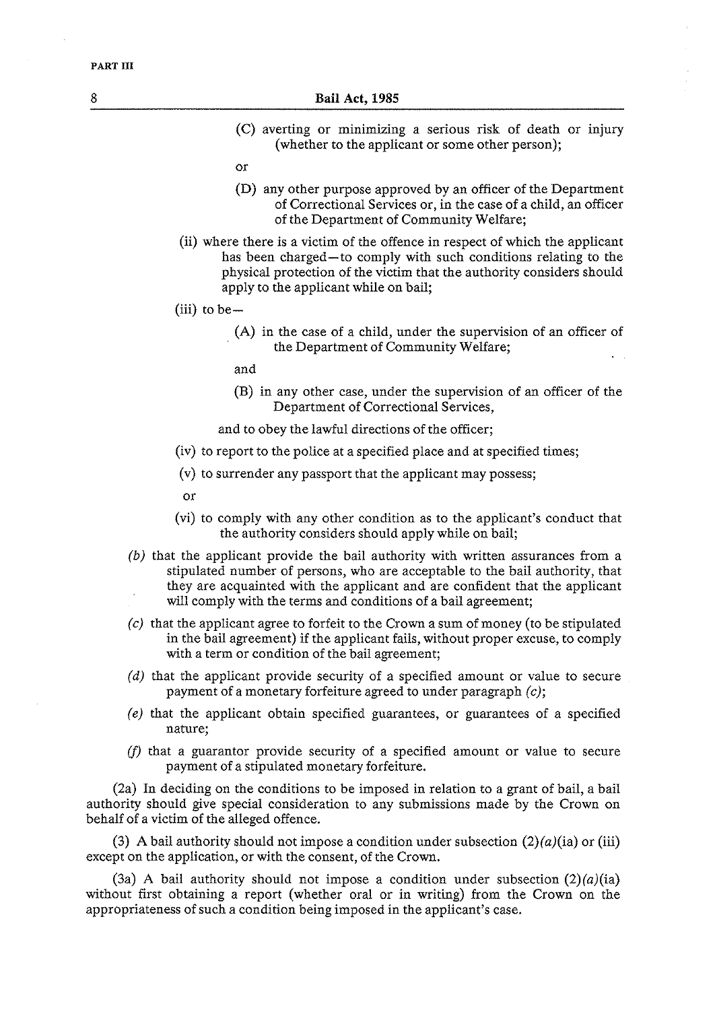- (C) averting or minimizing a serious risk of death or injury (whether to the applicant or some other person);
- or
- (D) any other purpose approved by an officer of the Department of Correctional Services or, in the case of a child, an officer of the Department of Community Welfare;
- (ii) where there is a victim of the offence in respect of which the applicant has been charged-to comply with such conditions relating to the physical protection of the victim that the authority considers should apply to the applicant while on bail;
- $(iii)$  to be  $-$ 
	- (A) in the case of a child, under the supervision of an officer of the Department of Community Welfare;
	- and
	- (B) in any other case, under the supervision of an officer of the Department of Correctional Services,

and to obey the lawful directions of the officer;

- (iv) to report to the police at a specified place and at specified times;
- (v) to surrender any passport that the applicant may possess;
- or
- (vi) to comply with any other condition as to the applicant's conduct that the authority considers should apply while on bail;
- (b) that the applicant provide the bail authority with written assurances from a stipulated number of persons, who are acceptable to the bail authority, that they are acquainted with the applicant and are confident that the applicant will comply with the terms and conditions of a bail agreement;
- (c) that the applicant agree to forfeit to the Crown a sum of money (to be stipulated in the bail agreement) if the applicant fails, without proper excuse, to comply with a term or condition of the bail agreement;
- (d) that the applicant provide security of a specified amount or value to secure payment of a monetary forfeiture agreed to under paragraph (c);
- *(e)* that the applicant obtain specified guarantees, or guarantees of a specified nature;
- (f) that a guarantor provide security of a specified amount or value to secure payment of a stipulated monetary forfeiture.

(2a) In deciding on the conditions to be imposed in relation to a grant of bail, a bail authority should give special consideration to any submissions made by the Crown on behalf of a victim of the alleged offence.

(3) A bail authority should not impose a condition under subsection  $(2)(a)(ia)$  or (iii) except on the application, or with the consent, of the Crown.

(3a) A bail authority should not impose a condition under subsection  $(2)(a)(ia)$ without first obtaining a report (whether oral or in writing) from the Crown on the appropriateness of such a condition being imposed in the applicant's case.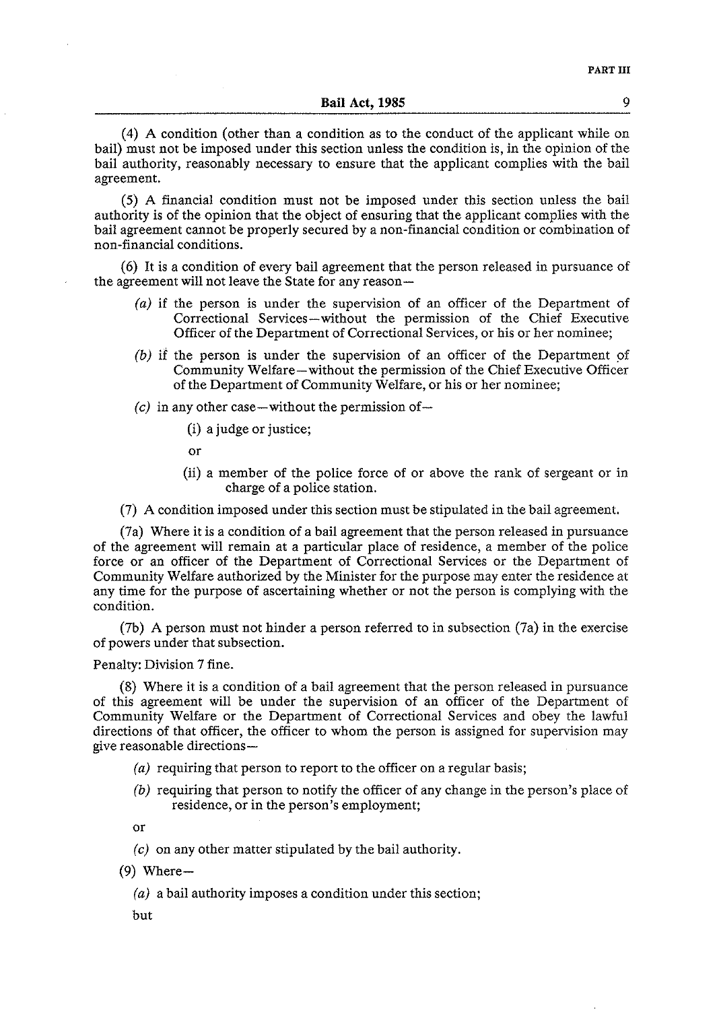(4) **A** condition (other than a condition as to the conduct of the applicant while on bail) must not be imposed under this section unless the condition is, in the opinion of the bail authority, reasonably necessary to ensure that the applicant complies with the bail agreement.

(5) A financial condition must not be imposed under this section unless the bail authority is of the opinion that the object of ensuring that the applicant complies with the bail agreement cannot be properly secured by a non-financial condition or combination of non-financial conditions.

(6) It is a condition of every bail agreement that the person released in pursuance of the agreement will not leave the State for any reason-

- *(a)* if the person is under the supervision of an officer of the Department of Correctional Services-without the permission of the Chief Executive Officer of the Department of Correctional Services, or his or her nominee;
- *(b)* if the person is under the supervision of an officer of the Department of Community Welfare-without the permission of the Chief Executive Officer of the Department of Community Welfare, or his or her nominee;
- $(c)$  in any other case—without the permission of—
	- (i) a judge or justice;
	- or
	- (ii) a member of the police force of or above the rank of sergeant or in charge of a police station.

(7) A condition imposed under this section must be stipulated in the bail agreement.

(7a) Where it is a condition of a bail agreement that the person released in pursuance of the agreement will remain at a particular place of residence, a member of the police force or an officer of the Department of Correctional Services or the Department of Community Welfare authorized by the Minister for the purpose may enter the residence at any time for the purpose of ascertaining whether or not the person is complying with the condition.

(7b) A person must not hinder a person referred to in subsection (7a) in the exercise of powers under that subsection.

#### Penalty: Division 7 fine.

(8) Where it is a condition of a bail agreement that the person released in pursuance of this agreement will be under the supervision of an officer of the Department of Community Welfare or the Department of Correctional Services and obey the lawful directions of that officer, the officer to whom the person is assigned for supervision may give reasonable directions-

- (a) requiring that person to report to the officer on a regular basis;
- *(b)* requiring that person to notify the officer of any change in the person's place of residence, or in the person's employment;

or

- *(c)* on any other matter stipulated by the bail authority.
- $(9)$  Where-
	- *(a)* a bail authority imposes a condition under this section;
	- but